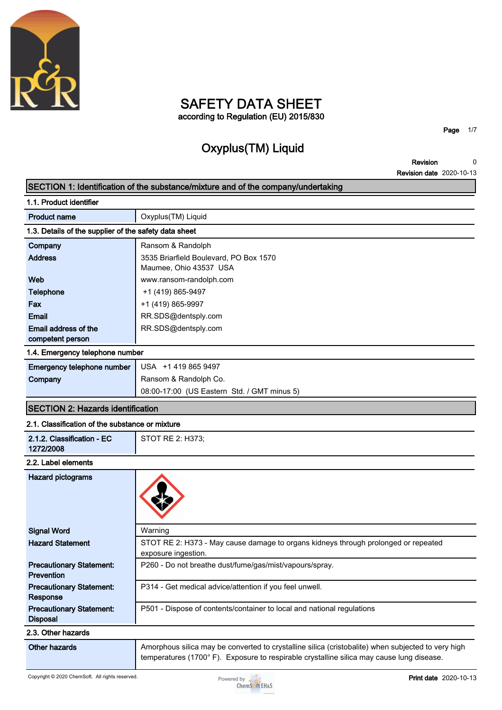

## **SAFETY DATA SHEET according to Regulation (EU) 2015/830**

**Oxyplus(TM) Liquid**

**Page 1/7**

**Revision Revision date 2020-10-13 0**

|                                                       | SECTION 1: Identification of the substance/mixture and of the company/undertaking                                                                                                              |
|-------------------------------------------------------|------------------------------------------------------------------------------------------------------------------------------------------------------------------------------------------------|
| 1.1. Product identifier                               |                                                                                                                                                                                                |
| <b>Product name</b>                                   | Oxyplus(TM) Liquid                                                                                                                                                                             |
| 1.3. Details of the supplier of the safety data sheet |                                                                                                                                                                                                |
| Company                                               | Ransom & Randolph                                                                                                                                                                              |
| <b>Address</b>                                        | 3535 Briarfield Boulevard, PO Box 1570<br>Maumee, Ohio 43537 USA                                                                                                                               |
| Web                                                   | www.ransom-randolph.com                                                                                                                                                                        |
| <b>Telephone</b>                                      | +1 (419) 865-9497                                                                                                                                                                              |
| Fax                                                   | +1 (419) 865-9997                                                                                                                                                                              |
| Email                                                 | RR.SDS@dentsply.com                                                                                                                                                                            |
| Email address of the                                  | RR.SDS@dentsply.com                                                                                                                                                                            |
| competent person                                      |                                                                                                                                                                                                |
| 1.4. Emergency telephone number                       |                                                                                                                                                                                                |
| Emergency telephone number                            | USA +1 419 865 9497                                                                                                                                                                            |
| Company                                               | Ransom & Randolph Co.                                                                                                                                                                          |
|                                                       | 08:00-17:00 (US Eastern Std. / GMT minus 5)                                                                                                                                                    |
| <b>SECTION 2: Hazards identification</b>              |                                                                                                                                                                                                |
| 2.1. Classification of the substance or mixture       |                                                                                                                                                                                                |
| 2.1.2. Classification - EC<br>1272/2008               | STOT RE 2: H373;                                                                                                                                                                               |
| 2.2. Label elements                                   |                                                                                                                                                                                                |
| <b>Hazard pictograms</b>                              |                                                                                                                                                                                                |
| <b>Signal Word</b>                                    | Warning                                                                                                                                                                                        |
| <b>Hazard Statement</b>                               | STOT RE 2: H373 - May cause damage to organs kidneys through prolonged or repeated<br>exposure ingestion.                                                                                      |
| <b>Precautionary Statement:</b><br>Prevention         | P260 - Do not breathe dust/fume/gas/mist/vapours/spray.                                                                                                                                        |
| <b>Precautionary Statement:</b><br>Response           | P314 - Get medical advice/attention if you feel unwell.                                                                                                                                        |
| <b>Precautionary Statement:</b><br><b>Disposal</b>    | P501 - Dispose of contents/container to local and national regulations                                                                                                                         |
| 2.3. Other hazards                                    |                                                                                                                                                                                                |
| <b>Other hazards</b>                                  | Amorphous silica may be converted to crystalline silica (cristobalite) when subjected to very high<br>temperatures (1700°F). Exposure to respirable crystalline silica may cause lung disease. |

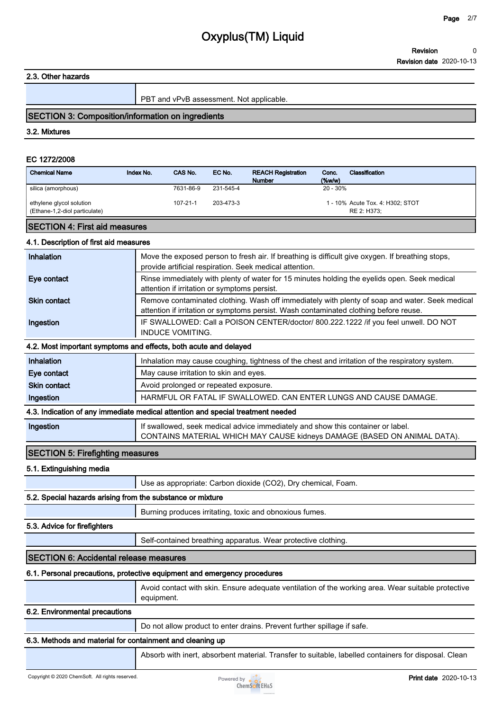**2.3. Other hazards**

**PBT and vPvB assessment. Not applicable.**

#### **SECTION 3: Composition/information on ingredients**

#### **3.2. Mixtures**

#### **EC 1272/2008**

| <b>Chemical Name</b>                           | Index No. | CAS No.               | EC No.                 | <b>REACH Registration</b><br><b>Number</b> | Classification<br>Conc.<br>(%w/w)            |
|------------------------------------------------|-----------|-----------------------|------------------------|--------------------------------------------|----------------------------------------------|
| silica (amorphous)<br>ethylene glycol solution |           | 7631-86-9<br>107-21-1 | 231-545-4<br>203-473-3 |                                            | 20 - 30%<br>1 - 10% Acute Tox. 4: H302; STOT |
| (Ethane-1,2-diol particulate)                  |           |                       |                        |                                            | RE 2: H373;                                  |

## **SECTION 4: First aid measures**

## **4.1. Description of first aid measures**

| Inhalation          | Move the exposed person to fresh air. If breathing is difficult give oxygen. If breathing stops,<br>provide artificial respiration. Seek medical attention.                             |
|---------------------|-----------------------------------------------------------------------------------------------------------------------------------------------------------------------------------------|
| Eye contact         | Rinse immediately with plenty of water for 15 minutes holding the eyelids open. Seek medical<br>attention if irritation or symptoms persist.                                            |
| <b>Skin contact</b> | Remove contaminated clothing. Wash off immediately with plenty of soap and water. Seek medical<br>attention if irritation or symptoms persist. Wash contaminated clothing before reuse. |
| Ingestion           | IF SWALLOWED: Call a POISON CENTER/doctor/ 800.222.1222 /if you feel unwell. DO NOT<br><b>INDUCE VOMITING.</b>                                                                          |
|                     | 4.2. Most important symptoms and effects, both acute and delayed                                                                                                                        |
| Inhalation          | Inhalation may cause coughing, tightness of the chest and irritation of the respiratory system.                                                                                         |
| Eye contact         | May cause irritation to skin and eyes.                                                                                                                                                  |

|                     | 4.3. Indication of any immediate medical attention and special treatment needed |
|---------------------|---------------------------------------------------------------------------------|
| Ingestion           | HARMFUL OR FATAL IF SWALLOWED. CAN ENTER LUNGS AND CAUSE DAMAGE.                |
| <b>Skin contact</b> | Avoid prolonged or repeated exposure.                                           |

**Ingestion If swallowed, seek medical advice immediately and show this container or label.**

**SECTION 5: Firefighting measures**

## **5.1. Extinguishing media**

**Use as appropriate: Carbon dioxide (CO2), Dry chemical, Foam.**

## **5.2. Special hazards arising from the substance or mixture**

**Burning produces irritating, toxic and obnoxious fumes.**

## **5.3. Advice for firefighters**

**Self-contained breathing apparatus. Wear protective clothing.**

## **SECTION 6: Accidental release measures**

## **6.1. Personal precautions, protective equipment and emergency procedures**

| Avoid contact with skin. Ensure adequate ventilation of the working area. Wear suitable protective |
|----------------------------------------------------------------------------------------------------|
| equipment.                                                                                         |

**CONTAINS MATERIAL WHICH MAY CAUSE kidneys DAMAGE (BASED ON ANIMAL DATA).**

## **6.2. Environmental precautions**

**Do not allow product to enter drains. Prevent further spillage if safe.**

## **6.3. Methods and material for containment and cleaning up**

**Absorb with inert, absorbent material. Transfer to suitable, labelled containers for disposal. Clean** 

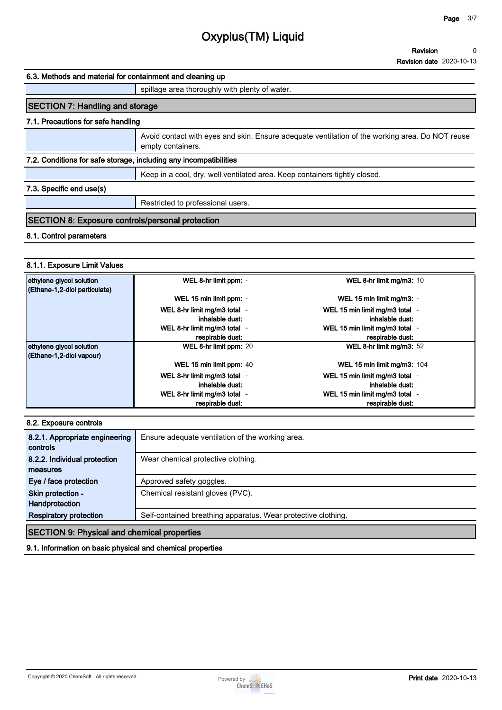#### **6.3. Methods and material for containment and cleaning up**

#### **spillage area thoroughly with plenty of water.**

## **SECTION 7: Handling and storage**

### **7.1. Precautions for safe handling**

**Avoid contact with eyes and skin. Ensure adequate ventilation of the working area. Do NOT reuse empty containers.**

#### **7.2. Conditions for safe storage, including any incompatibilities**

**Keep in a cool, dry, well ventilated area. Keep containers tightly closed.**

## **7.3. Specific end use(s)**

**Restricted to professional users.**

### **SECTION 8: Exposure controls/personal protection**

#### **8.1. Control parameters**

#### **8.1.1. Exposure Limit Values**

| ethylene glycol solution      | WEL 8-hr limit ppm: -        | WEL 8-hr limit mg/m3: 10       |
|-------------------------------|------------------------------|--------------------------------|
| (Ethane-1,2-diol particulate) |                              |                                |
|                               | WEL 15 min limit ppm: -      | WEL 15 min limit mg/m3: -      |
|                               | WEL 8-hr limit mg/m3 total - | WEL 15 min limit mg/m3 total - |
|                               | inhalable dust:              | inhalable dust:                |
|                               | WEL 8-hr limit mg/m3 total - | WEL 15 min limit mg/m3 total - |
|                               | respirable dust:             | respirable dust:               |
| ethylene glycol solution      | WEL 8-hr limit ppm: 20       | WEL 8-hr limit mg/m3: 52       |
| (Ethane-1,2-diol vapour)      |                              |                                |
|                               | WEL 15 min limit ppm: 40     | WEL 15 min limit mg/m3: 104    |
|                               | WEL 8-hr limit mg/m3 total - | WEL 15 min limit mg/m3 total - |
|                               | inhalable dust:              | inhalable dust:                |
|                               | WEL 8-hr limit mg/m3 total - | WEL 15 min limit mg/m3 total - |
|                               | respirable dust:             | respirable dust:               |

#### **8.2. Exposure controls**

| 8.2.1. Appropriate engineering<br>controls         | Ensure adequate ventilation of the working area.              |
|----------------------------------------------------|---------------------------------------------------------------|
| 8.2.2. Individual protection                       | Wear chemical protective clothing.                            |
| measures                                           |                                                               |
| Eye / face protection                              | Approved safety goggles.                                      |
| Skin protection -                                  | Chemical resistant gloves (PVC).                              |
| Handprotection                                     |                                                               |
| <b>Respiratory protection</b>                      | Self-contained breathing apparatus. Wear protective clothing. |
| <b>SECTION 9: Physical and chemical properties</b> |                                                               |

#### **9.1. Information on basic physical and chemical properties**

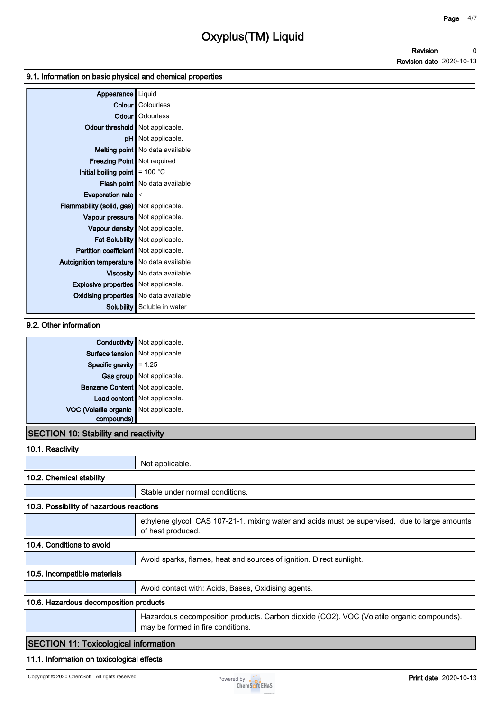### **9.1. Information on basic physical and chemical properties**

| Appearance                                   | Liquid                            |
|----------------------------------------------|-----------------------------------|
|                                              | <b>Colour</b> Colourless          |
|                                              | Odour   Odourless                 |
| Odour threshold   Not applicable.            |                                   |
|                                              | pH Not applicable.                |
|                                              | Melting point   No data available |
| Freezing Point Not required                  |                                   |
| Initial boiling point $\vert$ = 100 °C       |                                   |
|                                              | Flash point No data available     |
| Evaporation rate $\vert \leq$                |                                   |
| Flammability (solid, gas) Not applicable.    |                                   |
| Vapour pressure   Not applicable.            |                                   |
|                                              | Vapour density   Not applicable.  |
|                                              | Fat Solubility Not applicable.    |
| Partition coefficient   Not applicable.      |                                   |
| Autoignition temperature   No data available |                                   |
|                                              | Viscosity   No data available     |
| Explosive properties   Not applicable.       |                                   |
| Oxidising properties No data available       |                                   |
| Solubility                                   | Soluble in water                  |

## **9.2. Other information**

|                                         | <b>Conductivity</b> Not applicable. |
|-----------------------------------------|-------------------------------------|
| Surface tension Not applicable.         |                                     |
| Specific gravity $= 1.25$               |                                     |
|                                         | Gas group Not applicable.           |
| Benzene Content Not applicable.         |                                     |
|                                         | Lead content Not applicable.        |
| VOC (Volatile organic   Not applicable. |                                     |
| compounds)                              |                                     |
|                                         |                                     |

## **SECTION 10: Stability and reactivity**

| 10.1. Reactivity                                                                                                                    |                                                                                                                                |
|-------------------------------------------------------------------------------------------------------------------------------------|--------------------------------------------------------------------------------------------------------------------------------|
|                                                                                                                                     | Not applicable.                                                                                                                |
| 10.2. Chemical stability                                                                                                            |                                                                                                                                |
|                                                                                                                                     | Stable under normal conditions.                                                                                                |
| 10.3. Possibility of hazardous reactions                                                                                            |                                                                                                                                |
|                                                                                                                                     | ethylene glycol CAS 107-21-1. mixing water and acids must be supervised, due to large amounts<br>of heat produced.             |
| 10.4. Conditions to avoid                                                                                                           |                                                                                                                                |
|                                                                                                                                     | Avoid sparks, flames, heat and sources of ignition. Direct sunlight.                                                           |
| 10.5. Incompatible materials                                                                                                        |                                                                                                                                |
|                                                                                                                                     | Avoid contact with: Acids, Bases, Oxidising agents.                                                                            |
| 10.6. Hazardous decomposition products                                                                                              |                                                                                                                                |
|                                                                                                                                     | Hazardous decomposition products. Carbon dioxide (CO2). VOC (Volatile organic compounds).<br>may be formed in fire conditions. |
| $\mathsf{\mathsf{I}\mathsf{C}\mathsf{E}\mathsf{C}\mathsf{T}\mathsf{I}\mathsf{O}\mathsf{N}\mathsf{I}}$ 11. Toxicological information |                                                                                                                                |

## **SECTION 11: Toxicological information**

## **11.1. Information on toxicological effects**

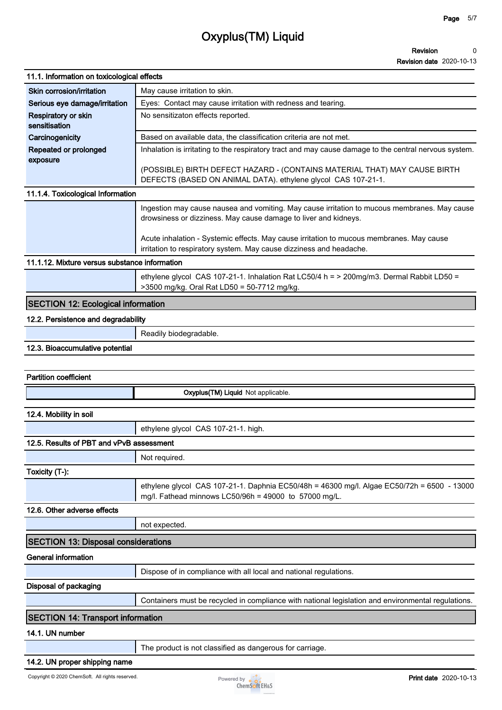| 11.1. Information on toxicological effects    |                                                                                                                                                                 |
|-----------------------------------------------|-----------------------------------------------------------------------------------------------------------------------------------------------------------------|
| Skin corrosion/irritation                     | May cause irritation to skin.                                                                                                                                   |
| Serious eye damage/irritation                 | Eyes: Contact may cause irritation with redness and tearing.                                                                                                    |
| Respiratory or skin<br>sensitisation          | No sensitizaton effects reported.                                                                                                                               |
| Carcinogenicity                               | Based on available data, the classification criteria are not met.                                                                                               |
| Repeated or prolonged<br>exposure             | Inhalation is irritating to the respiratory tract and may cause damage to the central nervous system.                                                           |
|                                               | (POSSIBLE) BIRTH DEFECT HAZARD - (CONTAINS MATERIAL THAT) MAY CAUSE BIRTH<br>DEFECTS (BASED ON ANIMAL DATA). ethylene glycol CAS 107-21-1.                      |
| 11.1.4. Toxicological Information             |                                                                                                                                                                 |
|                                               | Ingestion may cause nausea and vomiting. May cause irritation to mucous membranes. May cause<br>drowsiness or dizziness. May cause damage to liver and kidneys. |
|                                               | Acute inhalation - Systemic effects. May cause irritation to mucous membranes. May cause<br>irritation to respiratory system. May cause dizziness and headache. |
| 11.1.12. Mixture versus substance information |                                                                                                                                                                 |
|                                               | ethylene glycol CAS 107-21-1. Inhalation Rat LC50/4 h = > 200mg/m3. Dermal Rabbit LD50 =<br>>3500 mg/kg. Oral Rat LD50 = 50-7712 mg/kg.                         |
| <b>SECTION 12: Ecological information</b>     |                                                                                                                                                                 |
| 12.2. Persistence and degradability           |                                                                                                                                                                 |
|                                               | Readily biodegradable.                                                                                                                                          |
| 12.3. Bioaccumulative potential               |                                                                                                                                                                 |
|                                               |                                                                                                                                                                 |
| <b>Partition coefficient</b>                  |                                                                                                                                                                 |
|                                               | Oxyplus(TM) Liquid Not applicable.                                                                                                                              |
|                                               |                                                                                                                                                                 |
| 12.4. Mobility in soil                        |                                                                                                                                                                 |
|                                               | ethylene glycol CAS 107-21-1. high.                                                                                                                             |
| 12.5. Results of PBT and vPvB assessment      |                                                                                                                                                                 |
|                                               | Not required.                                                                                                                                                   |
|                                               |                                                                                                                                                                 |
| Toxicity (T-):                                | ethylene glycol CAS 107-21-1. Daphnia EC50/48h = 46300 mg/l. Algae EC50/72h = 6500 - 13000<br>mg/l. Fathead minnows LC50/96h = 49000 to 57000 mg/L.             |
| 12.6. Other adverse effects                   |                                                                                                                                                                 |
|                                               | not expected.                                                                                                                                                   |
| <b>SECTION 13: Disposal considerations</b>    |                                                                                                                                                                 |
| <b>General information</b>                    |                                                                                                                                                                 |
|                                               | Dispose of in compliance with all local and national regulations.                                                                                               |
|                                               |                                                                                                                                                                 |
| Disposal of packaging                         | Containers must be recycled in compliance with national legislation and environmental regulations.                                                              |
| <b>SECTION 14: Transport information</b>      |                                                                                                                                                                 |
| 14.1. UN number                               |                                                                                                                                                                 |
|                                               | The product is not classified as dangerous for carriage.                                                                                                        |
| 14.2. UN proper shipping name                 |                                                                                                                                                                 |

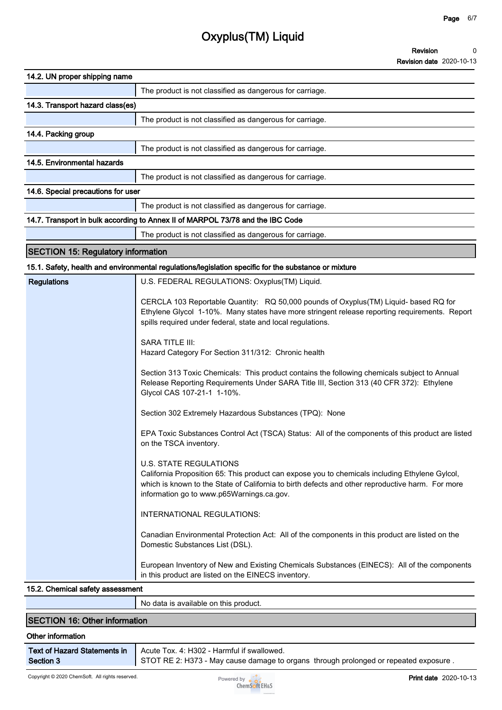| 14.2. UN proper shipping name             |                                                                                                                                                                                                                                                                                  |
|-------------------------------------------|----------------------------------------------------------------------------------------------------------------------------------------------------------------------------------------------------------------------------------------------------------------------------------|
|                                           | The product is not classified as dangerous for carriage.                                                                                                                                                                                                                         |
| 14.3. Transport hazard class(es)          |                                                                                                                                                                                                                                                                                  |
|                                           | The product is not classified as dangerous for carriage.                                                                                                                                                                                                                         |
| 14.4. Packing group                       |                                                                                                                                                                                                                                                                                  |
|                                           | The product is not classified as dangerous for carriage.                                                                                                                                                                                                                         |
| 14.5. Environmental hazards               |                                                                                                                                                                                                                                                                                  |
|                                           | The product is not classified as dangerous for carriage.                                                                                                                                                                                                                         |
| 14.6. Special precautions for user        |                                                                                                                                                                                                                                                                                  |
|                                           | The product is not classified as dangerous for carriage.                                                                                                                                                                                                                         |
|                                           | 14.7. Transport in bulk according to Annex II of MARPOL 73/78 and the IBC Code                                                                                                                                                                                                   |
|                                           | The product is not classified as dangerous for carriage.                                                                                                                                                                                                                         |
| <b>SECTION 15: Regulatory information</b> |                                                                                                                                                                                                                                                                                  |
|                                           | 15.1. Safety, health and environmental regulations/legislation specific for the substance or mixture                                                                                                                                                                             |
| <b>Regulations</b>                        | U.S. FEDERAL REGULATIONS: Oxyplus(TM) Liquid.                                                                                                                                                                                                                                    |
|                                           | CERCLA 103 Reportable Quantity: RQ 50,000 pounds of Oxyplus(TM) Liquid- based RQ for<br>Ethylene Glycol 1-10%. Many states have more stringent release reporting requirements. Report<br>spills required under federal, state and local regulations.                             |
|                                           | <b>SARA TITLE III:</b><br>Hazard Category For Section 311/312: Chronic health                                                                                                                                                                                                    |
|                                           | Section 313 Toxic Chemicals: This product contains the following chemicals subject to Annual<br>Release Reporting Requirements Under SARA Title III, Section 313 (40 CFR 372): Ethylene<br>Glycol CAS 107-21-1 1-10%.                                                            |
|                                           | Section 302 Extremely Hazardous Substances (TPQ): None                                                                                                                                                                                                                           |
|                                           | EPA Toxic Substances Control Act (TSCA) Status: All of the components of this product are listed<br>on the TSCA inventory.                                                                                                                                                       |
|                                           | <b>U.S. STATE REGULATIONS</b><br>California Proposition 65: This product can expose you to chemicals including Ethylene Gylcol,<br>which is known to the State of California to birth defects and other reproductive harm. For more<br>information go to www.p65Warnings.ca.gov. |
|                                           | INTERNATIONAL REGULATIONS:                                                                                                                                                                                                                                                       |
|                                           | Canadian Environmental Protection Act: All of the components in this product are listed on the<br>Domestic Substances List (DSL).                                                                                                                                                |
|                                           | European Inventory of New and Existing Chemicals Substances (EINECS): All of the components<br>in this product are listed on the EINECS inventory.                                                                                                                               |
| 15.2. Chemical safety assessment          |                                                                                                                                                                                                                                                                                  |
|                                           | No data is available on this product.                                                                                                                                                                                                                                            |

## **SECTION 16: Other information**

#### **Other information**

| <b>Text of Hazard Statements in</b> |  |
|-------------------------------------|--|
| Section 3                           |  |

**Acute Tox. 4: H302 - Harmful if swallowed.**

**STOT RE 2: H373 - May cause damage to organs through prolonged or repeated exposure .**